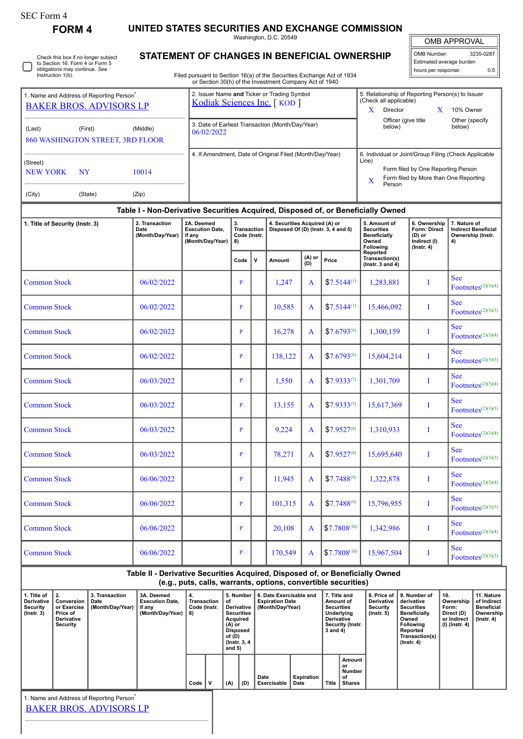| SEC Form 4 |
|------------|
|------------|

 $\Box$ 

| OMB APPROVAL |
|--------------|
|              |

 $0.5$ 

| SEC FOIM 4                                                                             |                                                                        |                                                                                  |                                                                                                                                                                                  |                                                          |              |                                                                      |                                                                                                                                 |                 |                                                                                                                                                              |                                                                            |                                                                      |  |
|----------------------------------------------------------------------------------------|------------------------------------------------------------------------|----------------------------------------------------------------------------------|----------------------------------------------------------------------------------------------------------------------------------------------------------------------------------|----------------------------------------------------------|--------------|----------------------------------------------------------------------|---------------------------------------------------------------------------------------------------------------------------------|-----------------|--------------------------------------------------------------------------------------------------------------------------------------------------------------|----------------------------------------------------------------------------|----------------------------------------------------------------------|--|
| <b>FORM 4</b>                                                                          |                                                                        | UNITED STATES SECURITIES AND EXCHANGE COMMISSION                                 |                                                                                                                                                                                  |                                                          |              | Washington, D.C. 20549                                               |                                                                                                                                 |                 |                                                                                                                                                              |                                                                            | <b>OMB APPROVAL</b>                                                  |  |
| obligations may continue. See<br>Instruction 1(b).                                     | Check this box if no longer subject<br>to Section 16. Form 4 or Form 5 |                                                                                  | STATEMENT OF CHANGES IN BENEFICIAL OWNERSHIP<br>Filed pursuant to Section 16(a) of the Securities Exchange Act of 1934<br>or Section 30(h) of the Investment Company Act of 1940 |                                                          |              |                                                                      |                                                                                                                                 |                 |                                                                                                                                                              | OMB Number:<br>Estimated average burden<br>hours per response:             | 3235-0287<br>0.5                                                     |  |
| 1. Name and Address of Reporting Person <sup>®</sup><br><b>BAKER BROS. ADVISORS LP</b> |                                                                        |                                                                                  | 2. Issuer Name and Ticker or Trading Symbol<br>Kodiak Sciences Inc. [KOD]                                                                                                        |                                                          |              |                                                                      | 5. Relationship of Reporting Person(s) to Issuer<br>(Check all applicable)<br>10% Owner<br>$\bf{X}$<br>Director<br>$\mathbf{X}$ |                 |                                                                                                                                                              |                                                                            |                                                                      |  |
| (Last)                                                                                 | (First)<br>860 WASHINGTON STREET, 3RD FLOOR                            | (Middle)                                                                         | 06/02/2022                                                                                                                                                                       | 3. Date of Earliest Transaction (Month/Day/Year)         |              |                                                                      |                                                                                                                                 |                 |                                                                                                                                                              | Officer (give title<br>Other (specify<br>below)<br>below)                  |                                                                      |  |
| (Street)<br><b>NEW YORK</b><br>(City)                                                  | <b>NY</b><br>(State)                                                   | 10014<br>(Zip)                                                                   |                                                                                                                                                                                  | 4. If Amendment, Date of Original Filed (Month/Day/Year) |              |                                                                      |                                                                                                                                 |                 | 6. Individual or Joint/Group Filing (Check Applicable<br>Line)<br>Form filed by One Reporting Person<br>Form filed by More than One Reporting<br>X<br>Person |                                                                            |                                                                      |  |
|                                                                                        |                                                                        | Table I - Non-Derivative Securities Acquired, Disposed of, or Beneficially Owned |                                                                                                                                                                                  |                                                          |              |                                                                      |                                                                                                                                 |                 |                                                                                                                                                              |                                                                            |                                                                      |  |
| 1. Title of Security (Instr. 3)                                                        |                                                                        | 2. Transaction<br>Date<br>(Month/Day/Year)                                       | 2A. Deemed<br><b>Execution Date.</b><br>if any<br>(Month/Day/Year)                                                                                                               | 3.<br><b>Transaction</b><br>Code (Instr.<br>8)           |              | 4. Securities Acquired (A) or<br>Disposed Of (D) (Instr. 3, 4 and 5) |                                                                                                                                 |                 | 5. Amount of<br><b>Securities</b><br><b>Beneficially</b><br>Owned<br>Following                                                                               | 6. Ownership<br>Form: Direct<br>(D) or<br>Indirect (I)<br>$($ Instr. 4 $)$ | 7. Nature of<br><b>Indirect Beneficia</b><br>Ownership (Instr.<br>4) |  |
|                                                                                        |                                                                        |                                                                                  |                                                                                                                                                                                  | Code                                                     | $\mathsf{v}$ | Amount                                                               | (A) or<br>(D)                                                                                                                   | Price           | Reported<br>Transaction(s)<br>( $lnstr. 3 and 4$ )                                                                                                           |                                                                            |                                                                      |  |
| <b>Common Stock</b>                                                                    |                                                                        | 06/02/2022                                                                       |                                                                                                                                                                                  | P                                                        |              | 1,247                                                                | A                                                                                                                               | $$7.5144^{(1)}$ | 1,283,881                                                                                                                                                    | I                                                                          | <b>See</b><br>$\text{ Footnotes}^{(2)(3)(4)}$                        |  |
| <b>Common Stock</b>                                                                    |                                                                        | 06/02/2022                                                                       |                                                                                                                                                                                  | P                                                        |              | 10,585                                                               | A                                                                                                                               | $$7.5144^{(1)}$ | 15,466,092                                                                                                                                                   | I                                                                          | <b>See</b><br>Footnotes ${}^{(2)(3)(5)}$                             |  |
|                                                                                        |                                                                        |                                                                                  |                                                                                                                                                                                  |                                                          |              |                                                                      |                                                                                                                                 |                 |                                                                                                                                                              |                                                                            | $S_{\alpha\alpha}$                                                   |  |

| 1. Title of Security (Instr. 3) | 2. Transaction<br>Date<br>(Month/Day/Year) | 2A. Deemed<br><b>Execution Date,</b><br>if anv<br>(Month/Day/Year) | 3.<br><b>Transaction</b><br>Code (Instr.<br>8) |             | 4. Securities Acquired (A) or<br>Disposed Of (D) (Instr. 3, 4 and 5) |               |                  | 5. Amount of<br><b>Securities</b><br><b>Beneficially</b><br>Owned<br>Following | 6. Ownership<br><b>Form: Direct</b><br>$(D)$ or<br>Indirect (I)<br>$($ Instr. 4 $)$ | 7. Nature of<br><b>Indirect Beneficial</b><br>Ownership (Instr.<br>4) |
|---------------------------------|--------------------------------------------|--------------------------------------------------------------------|------------------------------------------------|-------------|----------------------------------------------------------------------|---------------|------------------|--------------------------------------------------------------------------------|-------------------------------------------------------------------------------------|-----------------------------------------------------------------------|
|                                 |                                            |                                                                    | Code                                           | $\mathbf v$ | Amount                                                               | (A) or<br>(D) | Price            | Reported<br>Transaction(s)<br>(Instr. 3 and $4$ )                              |                                                                                     |                                                                       |
| <b>Common Stock</b>             | 06/02/2022                                 |                                                                    | $\mathbf{P}$                                   |             | 1,247                                                                | A             | $$7.5144^{(1)}$  | 1,283,881                                                                      | I                                                                                   | <b>See</b><br>$ Footnotes^{(2)(3)(4)}$                                |
| <b>Common Stock</b>             | 06/02/2022                                 |                                                                    | $\mathbf{P}$                                   |             | 10,585                                                               | A             | $$7.5144^{(1)}$  | 15,466,092                                                                     | Т                                                                                   | <b>See</b><br>Footnotes $(2)(3)(5)$                                   |
| <b>Common Stock</b>             | 06/02/2022                                 |                                                                    | $\mathbf{P}$                                   |             | 16,278                                                               | A             | $$7.6793^{(6)}$  | 1,300,159                                                                      | Т                                                                                   | <b>See</b><br>Footnotes $(2)(3)(4)$                                   |
| <b>Common Stock</b>             | 06/02/2022                                 |                                                                    | P                                              |             | 138,122                                                              | A             | $$7.6793^{(6)}$  | 15,604,214                                                                     | I                                                                                   | <b>See</b><br>Footnotes <sup><math>(2)(3)(5)</math></sup>             |
| <b>Common Stock</b>             | 06/03/2022                                 |                                                                    | P                                              |             | 1,550                                                                | A             | $$7.9333^{(7)}$  | 1,301,709                                                                      | T                                                                                   | <b>See</b><br>$ Footnotes^{(2)(3)(4)}$                                |
| <b>Common Stock</b>             | 06/03/2022                                 |                                                                    | P                                              |             | 13,155                                                               | A             | $$7.9333^{(7)}$  | 15,617,369                                                                     | T                                                                                   | <b>See</b><br>Footnotes $(2)(3)(5)$                                   |
| <b>Common Stock</b>             | 06/03/2022                                 |                                                                    | P                                              |             | 9,224                                                                | A             | $$7.9527^{(8)}$  | 1,310,933                                                                      | $\mathbf I$                                                                         | <b>See</b><br>$ Footnotes^{(2)(3)(4)}$                                |
| <b>Common Stock</b>             | 06/03/2022                                 |                                                                    | P                                              |             | 78,271                                                               | A             | $$7.9527^{(8)}$  | 15,695,640                                                                     | I                                                                                   | <b>See</b><br>Footnotes $(2)(3)(5)$                                   |
| <b>Common Stock</b>             | 06/06/2022                                 |                                                                    | $\mathbf{P}$                                   |             | 11,945                                                               | A             | $$7.7488^{(9)}$  | 1,322,878                                                                      | I                                                                                   | <b>See</b><br>$ Footnotes^{(2)(3)(4)}$                                |
| <b>Common Stock</b>             | 06/06/2022                                 |                                                                    | P                                              |             | 101,315                                                              | A             | $$7.7488^{(9)}$  | 15,796,955                                                                     | $\bf I$                                                                             | <b>See</b><br>$\text{ Footnotes}^{(2)(3)(5)}$                         |
| <b>Common Stock</b>             | 06/06/2022                                 |                                                                    | P                                              |             | 20.108                                                               | A             | $$7.7808^{(10)}$ | 1,342,986                                                                      | I                                                                                   | <b>See</b><br>$ Footnotes^{(2)(3)(4)}$                                |
| <b>Common Stock</b>             | 06/06/2022                                 |                                                                    | $\mathbf{P}$                                   |             | 170,549                                                              | A             | $$7.7808^{(10)}$ | 15,967,504                                                                     | Т                                                                                   | <b>See</b><br>$\text{ Footnotes}^{(2)(3)(5)}$                         |

|                                                                  | Table II - Derivative Securities Acquired, Disposed of, or Beneficially Owned<br>(e.g., puts, calls, warrants, options, convertible securities) |                                            |                                                                    |                                   |   |                                                                                                                                    |     |                                                                       |                           |                                                                                                                   |                                               |                                                                  |                                                                                                                                                       |                                                                            |                                                                                 |
|------------------------------------------------------------------|-------------------------------------------------------------------------------------------------------------------------------------------------|--------------------------------------------|--------------------------------------------------------------------|-----------------------------------|---|------------------------------------------------------------------------------------------------------------------------------------|-----|-----------------------------------------------------------------------|---------------------------|-------------------------------------------------------------------------------------------------------------------|-----------------------------------------------|------------------------------------------------------------------|-------------------------------------------------------------------------------------------------------------------------------------------------------|----------------------------------------------------------------------------|---------------------------------------------------------------------------------|
| 1. Title of<br><b>Derivative</b><br>Security<br>$($ lnstr. 3 $)$ | $\overline{2}$<br>Conversion<br>or Exercise<br>Price of<br><b>Derivative</b><br><b>Security</b>                                                 | 3. Transaction<br>Date<br>(Month/Day/Year) | 3A. Deemed<br><b>Execution Date.</b><br>if any<br>(Month/Day/Year) | Transaction<br>Code (Instr.<br>8) |   | 5. Number<br>οf<br>Derivative<br><b>Securities</b><br>Acquired<br>(A) or<br><b>Disposed</b><br>of (D)<br>(Instr. 3, 4)<br>and $5)$ |     | 6. Date Exercisable and<br><b>Expiration Date</b><br>(Month/Day/Year) |                           | 7. Title and<br>Amount of<br><b>Securities</b><br>Underlying<br><b>Derivative</b><br>Security (Instr.<br>3 and 4) |                                               | 8. Price of<br><b>Derivative</b><br>Security<br>$($ lnstr. 5 $)$ | 9. Number of<br>derivative<br><b>Securities</b><br><b>Beneficially</b><br>Owned<br><b>Following</b><br>Reported<br>Transaction(s)<br>$($ Instr. 4 $)$ | 10.<br>Ownership<br>Form:<br>Direct (D)<br>or Indirect<br>$(l)$ (lnstr. 4) | 11. Nature<br>of Indirect<br><b>Beneficial</b><br>Ownership<br>$($ lnstr. 4 $)$ |
|                                                                  |                                                                                                                                                 |                                            |                                                                    | Code                              | v | (A)                                                                                                                                | (D) | Date<br>Exercisable                                                   | <b>Expiration</b><br>Date | Title                                                                                                             | Amount<br>or<br>Number<br>οf<br><b>Shares</b> |                                                                  |                                                                                                                                                       |                                                                            |                                                                                 |
| 1. Name and Address of Reporting Person <sup>®</sup>             |                                                                                                                                                 |                                            |                                                                    |                                   |   |                                                                                                                                    |     |                                                                       |                           |                                                                                                                   |                                               |                                                                  |                                                                                                                                                       |                                                                            |                                                                                 |

[BAKER BROS. ADVISORS LP](http://www.sec.gov/cgi-bin/browse-edgar?action=getcompany&CIK=0001263508)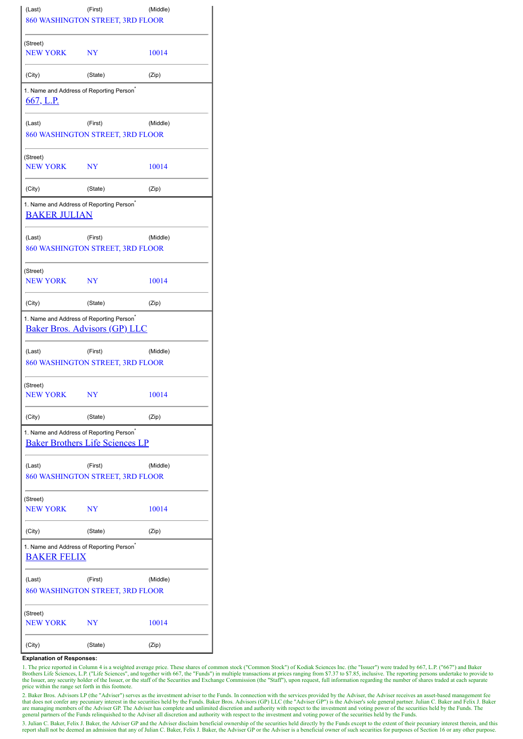| (Last)                                                                      | (First)<br>860 WASHINGTON STREET, 3RD FLOOR | (Middle) |
|-----------------------------------------------------------------------------|---------------------------------------------|----------|
| (Street)<br><b>NEW YORK</b>                                                 | NY                                          | 10014    |
| (City)                                                                      | (State)                                     | (Zip)    |
| 1. Name and Address of Reporting Person <sup>*</sup><br>667, L.P.           |                                             |          |
| (Last)                                                                      | (First)<br>860 WASHINGTON STREET, 3RD FLOOR | (Middle) |
| (Street)<br><b>NEW YORK</b>                                                 | NY <sub></sub>                              | 10014    |
| (City)                                                                      | (State)                                     | (Zip)    |
| 1. Name and Address of Reporting Person <sup>*</sup><br><b>BAKER JULIAN</b> |                                             |          |
| (Last)                                                                      | (First)<br>860 WASHINGTON STREET, 3RD FLOOR | (Middle) |
| (Street)<br><b>NEW YORK</b>                                                 | <b>NY</b>                                   | 10014    |
| (City)                                                                      | (State)                                     | (Zip)    |
| 1. Name and Address of Reporting Person <sup>®</sup>                        | <b>Baker Bros. Advisors (GP) LLC</b>        |          |
| (Last)                                                                      | (First)<br>860 WASHINGTON STREET, 3RD FLOOR | (Middle) |
| (Street)<br>NEW YORK NY                                                     |                                             | 10014    |
| (City)                                                                      | (State)                                     | (Zip)    |
| 1. Name and Address of Reporting Person <sup>®</sup>                        | <b>Baker Brothers Life Sciences LP</b>      |          |
| (Last)                                                                      | (First)<br>860 WASHINGTON STREET, 3RD FLOOR | (Middle) |
| (Street)<br><b>NEW YORK</b>                                                 | NY                                          | 10014    |
| (City)                                                                      | (State)                                     | (Zip)    |
| 1. Name and Address of Reporting Person <sup>*</sup><br><b>BAKER FELIX</b>  |                                             |          |
| (Last)                                                                      | (First)<br>860 WASHINGTON STREET, 3RD FLOOR | (Middle) |
| (Street)<br><b>NEW YORK</b>                                                 | NY                                          | 10014    |
| (City)                                                                      | (State)                                     | (Zip)    |

## **Explanation of Responses:**

1. The price reported in Column 4 is a weighted average price. These shares of common stock ("Common Stock") of Kodiak Sciences Inc. (the "Issuer") were traded by 667, L.P. ("667") and Baker Brothers Life Sciences, L.P. ("Life Sciences", and together with 667, the "Funds") in multiple transactions at prices ranging from \$7.37 to \$7.85, inclusive. The reporting persons undertake to provide to the Issuer, any se price within the range set forth in this footnote.

2. Baker Bros. Advisors LP (the "Adviser") serves as the investment adviser to the Funds. In connection with the services provided by the Adviser, the Adviser receives an asset-based management fee<br>that does not confer any

3. Julian C. Baker, Felix J. Baker, the Adviser GP and the Adviser disclaim beneficial ownership of the securities held directly by the Funds except to the extent of their pecuniary interest therein, and this report shall